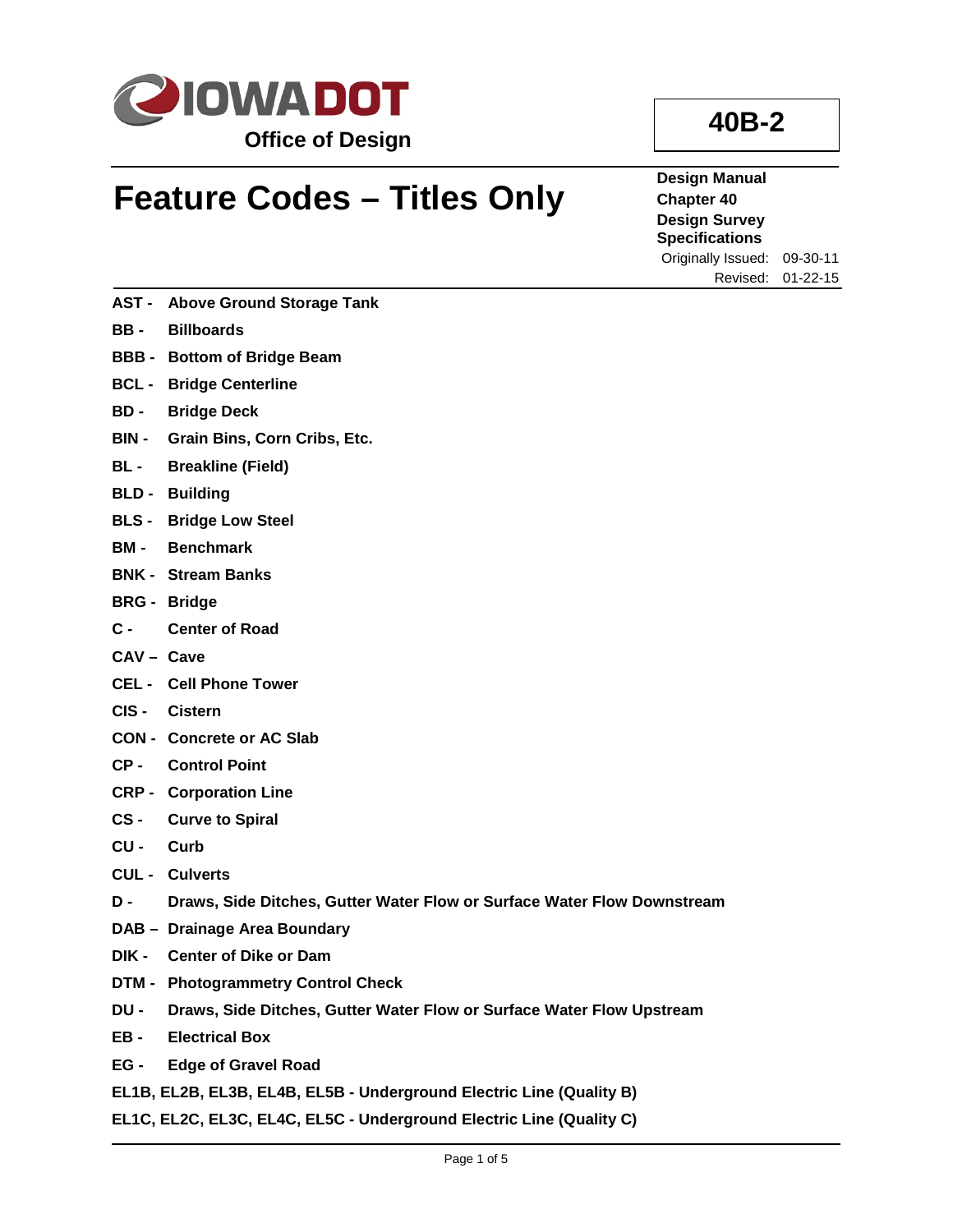

## **Feature Codes – Titles Only**

**Design Manual Chapter 40 Design Survey Specifications** Originally Issued: 09-30-11

**AST - Above Ground Storage Tank**

- **BB - Billboards**
- **BBB - Bottom of Bridge Beam**
- **BCL - Bridge Centerline**
- **BD - Bridge Deck**
- **BIN - Grain Bins, Corn Cribs, Etc.**
- **BL - Breakline (Field)**
- **BLD - Building**
- **BLS - Bridge Low Steel**
- **BM - Benchmark**
- **BNK - Stream Banks**
- **BRG - Bridge**
- **C - Center of Road**
- **CAV – Cave**
- **CEL - Cell Phone Tower**
- **CIS - Cistern**
- **CON - Concrete or AC Slab**
- **CP - Control Point**
- **CRP - Corporation Line**
- **CS - Curve to Spiral**
- **CU - Curb**
- **CUL - Culverts**
- **D - Draws, Side Ditches, Gutter Water Flow or Surface Water Flow Downstream**
- **DAB – Drainage Area Boundary**
- **DIK - Center of Dike or Dam**
- **DTM - Photogrammetry Control Check**
- **DU - Draws, Side Ditches, Gutter Water Flow or Surface Water Flow Upstream**
- **EB - Electrical Box**
- **EG - Edge of Gravel Road**
- **EL1B, EL2B, EL3B, EL4B, EL5B - Underground Electric Line (Quality B)**
- **EL1C, EL2C, EL3C, EL4C, EL5C - Underground Electric Line (Quality C)**

## **40B-2**

Revised: 01-22-15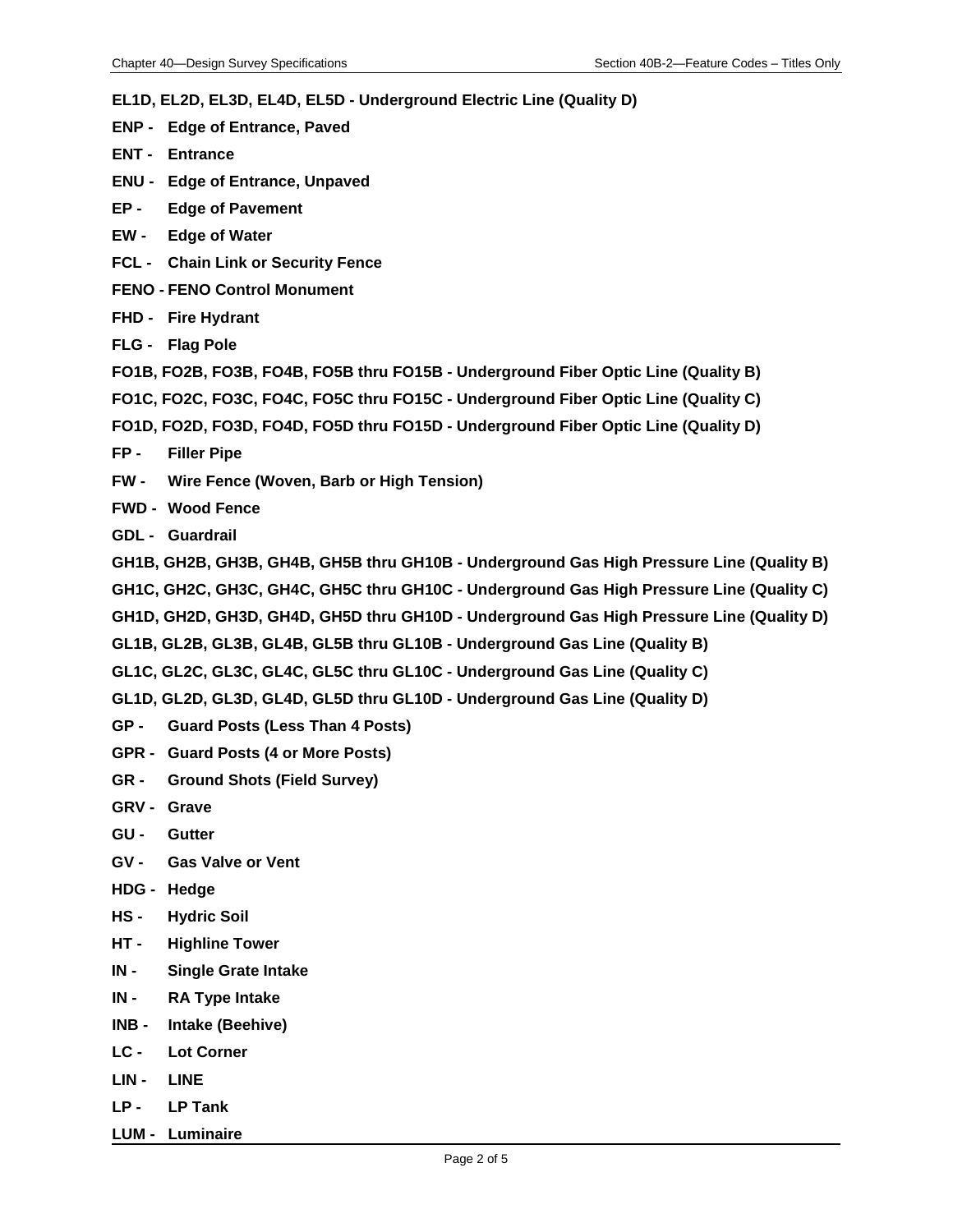**EL1D, EL2D, EL3D, EL4D, EL5D - Underground Electric Line (Quality D)**

- **ENP - Edge of Entrance, Paved**
- **ENT - Entrance**
- **ENU - Edge of Entrance, Unpaved**
- **EP - Edge of Pavement**
- **EW - Edge of Water**
- **FCL - Chain Link or Security Fence**
- **FENO - FENO Control Monument**
- **FHD - Fire Hydrant**
- **FLG - Flag Pole**
- **FO1B, FO2B, FO3B, FO4B, FO5B thru FO15B - Underground Fiber Optic Line (Quality B)**
- **FO1C, FO2C, FO3C, FO4C, FO5C thru FO15C - Underground Fiber Optic Line (Quality C)**
- **FO1D, FO2D, FO3D, FO4D, FO5D thru FO15D - Underground Fiber Optic Line (Quality D)**
- **FP - Filler Pipe**
- **FW - Wire Fence (Woven, Barb or High Tension)**
- **FWD - Wood Fence**
- **GDL - Guardrail**
- **GH1B, GH2B, GH3B, GH4B, GH5B thru GH10B - Underground Gas High Pressure Line (Quality B)**
- **GH1C, GH2C, GH3C, GH4C, GH5C thru GH10C - Underground Gas High Pressure Line (Quality C)**
- **GH1D, GH2D, GH3D, GH4D, GH5D thru GH10D - Underground Gas High Pressure Line (Quality D)**
- **GL1B, GL2B, GL3B, GL4B, GL5B thru GL10B - Underground Gas Line (Quality B)**
- **GL1C, GL2C, GL3C, GL4C, GL5C thru GL10C - Underground Gas Line (Quality C)**
- **GL1D, GL2D, GL3D, GL4D, GL5D thru GL10D - Underground Gas Line (Quality D)**
- **GP - Guard Posts (Less Than 4 Posts)**
- **GPR - Guard Posts (4 or More Posts)**
- **GR - Ground Shots (Field Survey)**
- **GRV - Grave**
- **GU - Gutter**
- **GV - Gas Valve or Vent**
- **HDG - Hedge**
- **HS - Hydric Soil**
- **HT - Highline Tower**
- **IN - Single Grate Intake**
- **IN - RA Type Intake**
- **INB - Intake (Beehive)**
- **LC - Lot Corner**
- **LIN - LINE**
- **LP - LP Tank**
- **LUM - Luminaire**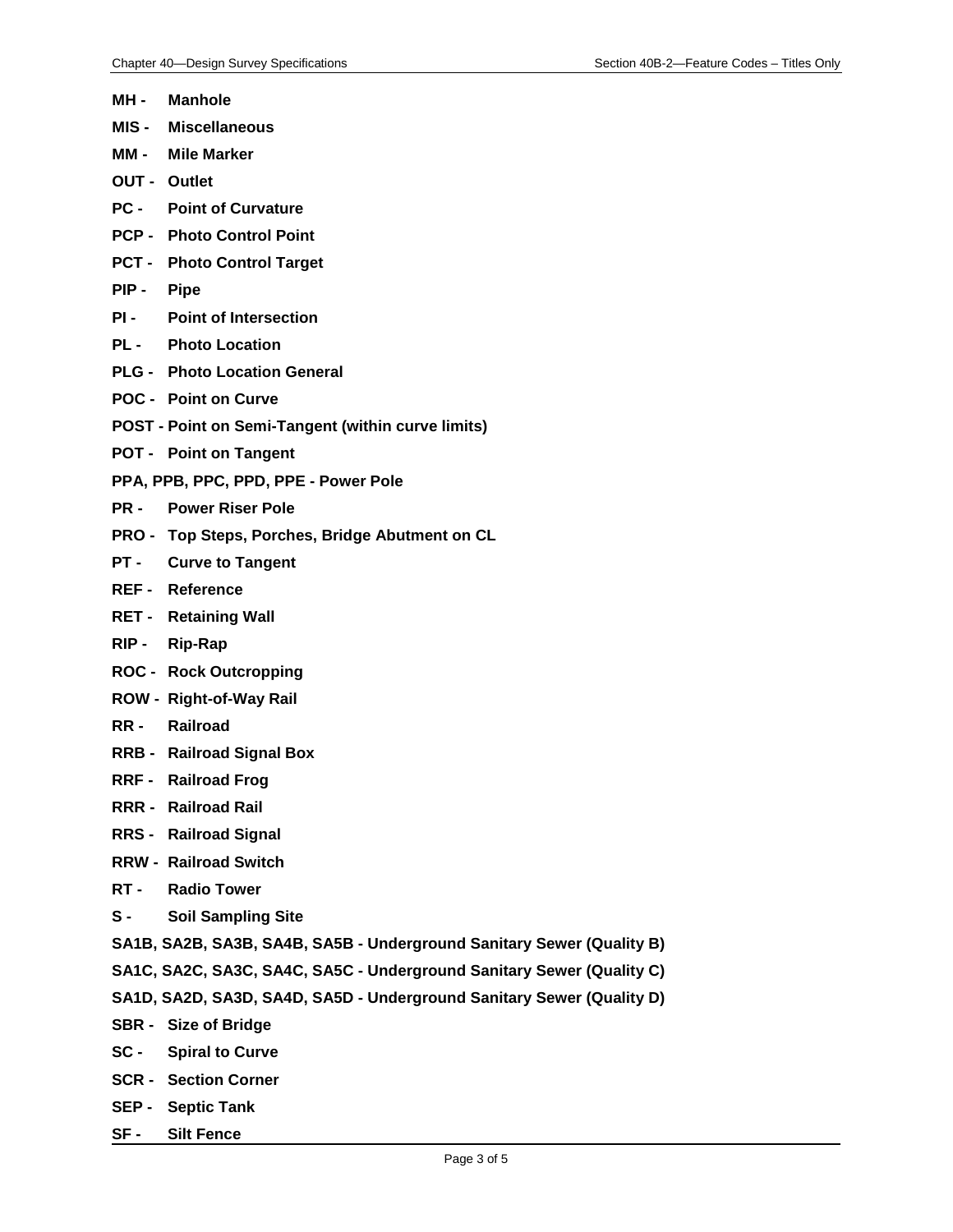- **MH - Manhole**
- **MIS - Miscellaneous**
- **MM - Mile Marker**
- **OUT - Outlet**
- **PC - Point of Curvature**
- **PCP - Photo Control Point**
- **PCT - Photo Control Target**
- **PIP - Pipe**
- **PI - Point of Intersection**
- **PL - Photo Location**
- **PLG - Photo Location General**
- **POC - Point on Curve**
- **POST - Point on Semi-Tangent (within curve limits)**
- **POT - Point on Tangent**
- **PPA, PPB, PPC, PPD, PPE - Power Pole**
- **PR - Power Riser Pole**
- **PRO - Top Steps, Porches, Bridge Abutment on CL**
- **PT - Curve to Tangent**
- **REF - Reference**
- **RET - Retaining Wall**
- **RIP - Rip-Rap**
- **ROC - Rock Outcropping**
- **ROW - Right-of-Way Rail**
- **RR - Railroad**
- **RRB - Railroad Signal Box**
- **RRF - Railroad Frog**
- **RRR - Railroad Rail**
- **RRS - Railroad Signal**
- **RRW - Railroad Switch**
- **RT - Radio Tower**
- **S - Soil Sampling Site**
- **SA1B, SA2B, SA3B, SA4B, SA5B - Underground Sanitary Sewer (Quality B)**
- **SA1C, SA2C, SA3C, SA4C, SA5C - Underground Sanitary Sewer (Quality C)**
- **SA1D, SA2D, SA3D, SA4D, SA5D - Underground Sanitary Sewer (Quality D)**
- **SBR - Size of Bridge**
- **SC - Spiral to Curve**
- **SCR - Section Corner**
- **SEP - Septic Tank**
- **SF - Silt Fence**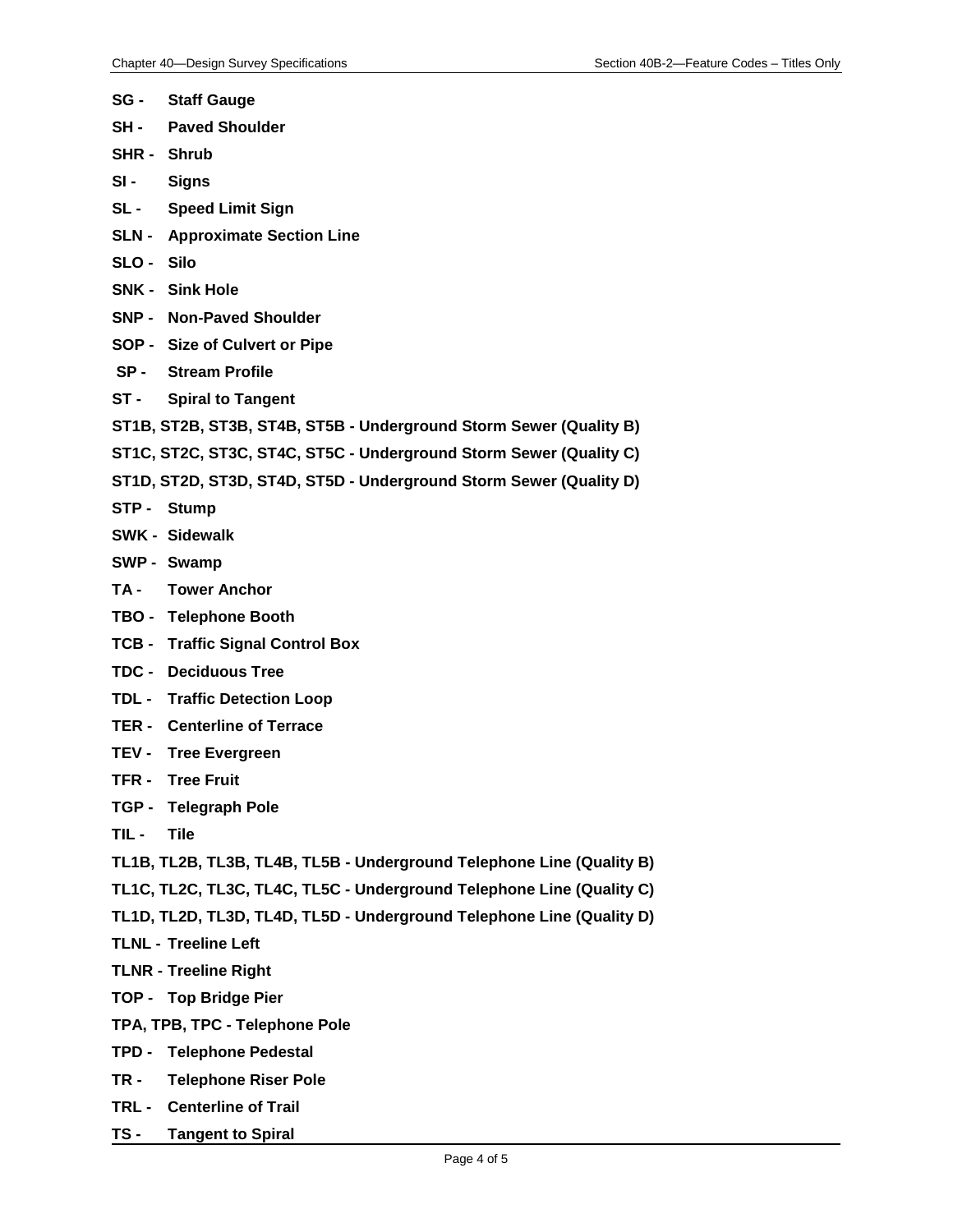- **SG - Staff Gauge**
- **SH - Paved Shoulder**
- **SHR - Shrub**
- **SI - Signs**
- **SL - Speed Limit Sign**
- **SLN - Approximate Section Line**
- **SLO - Silo**
- **SNK - Sink Hole**
- **SNP - Non-Paved Shoulder**
- **SOP - Size of Culvert or Pipe**
- **SP - Stream Profile**
- **ST - Spiral to Tangent**
- **ST1B, ST2B, ST3B, ST4B, ST5B - Underground Storm Sewer (Quality B)**
- **ST1C, ST2C, ST3C, ST4C, ST5C - Underground Storm Sewer (Quality C)**
- **ST1D, ST2D, ST3D, ST4D, ST5D - Underground Storm Sewer (Quality D)**
- **STP - Stump**
- **SWK - Sidewalk**
- **SWP - Swamp**
- **TA - Tower Anchor**
- **TBO - Telephone Booth**
- **TCB - Traffic Signal Control Box**
- **TDC - Deciduous Tree**
- **TDL - Traffic Detection Loop**
- **TER - Centerline of Terrace**
- **TEV - Tree Evergreen**
- **TFR - Tree Fruit**
- **TGP - Telegraph Pole**
- **TIL - Tile**
- **TL1B, TL2B, TL3B, TL4B, TL5B - Underground Telephone Line (Quality B)**
- **TL1C, TL2C, TL3C, TL4C, TL5C - Underground Telephone Line (Quality C)**
- **TL1D, TL2D, TL3D, TL4D, TL5D - Underground Telephone Line (Quality D)**
- **TLNL - Treeline Left**
- **TLNR - Treeline Right**
- **TOP - Top Bridge Pier**
- **TPA, TPB, TPC - Telephone Pole**
- **TPD - Telephone Pedestal**
- **TR - Telephone Riser Pole**
- **TRL - Centerline of Trail**
- **TS - Tangent to Spiral**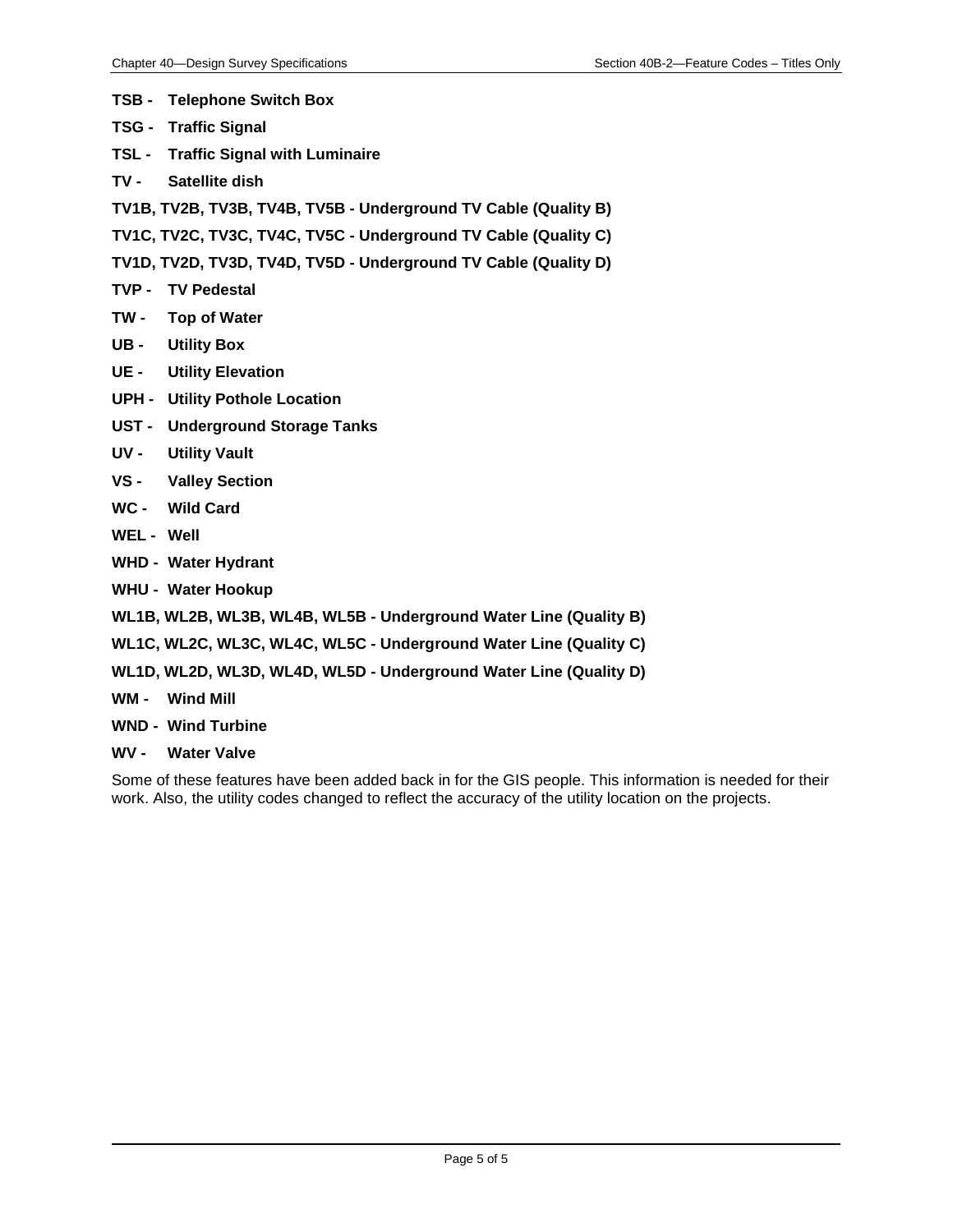- **TSB - Telephone Switch Box**
- **TSG - Traffic Signal**
- **TSL - Traffic Signal with Luminaire**
- **TV - Satellite dish**
- **TV1B, TV2B, TV3B, TV4B, TV5B - Underground TV Cable (Quality B)**
- **TV1C, TV2C, TV3C, TV4C, TV5C - Underground TV Cable (Quality C)**
- **TV1D, TV2D, TV3D, TV4D, TV5D - Underground TV Cable (Quality D)**
- **TVP - TV Pedestal**
- **TW - Top of Water**
- **UB - Utility Box**
- **UE - Utility Elevation**
- **UPH - Utility Pothole Location**
- **UST - Underground Storage Tanks**
- **UV - Utility Vault**
- **VS - Valley Section**
- **WC - Wild Card**
- **WEL - Well**
- **WHD - Water Hydrant**
- **WHU - Water Hookup**
- **WL1B, WL2B, WL3B, WL4B, WL5B - Underground Water Line (Quality B)**
- **WL1C, WL2C, WL3C, WL4C, WL5C - Underground Water Line (Quality C)**
- **WL1D, WL2D, WL3D, WL4D, WL5D - Underground Water Line (Quality D)**
- **WM - Wind Mill**
- **WND - Wind Turbine**
- **WV - Water Valve**

Some of these features have been added back in for the GIS people. This information is needed for their work. Also, the utility codes changed to reflect the accuracy of the utility location on the projects.